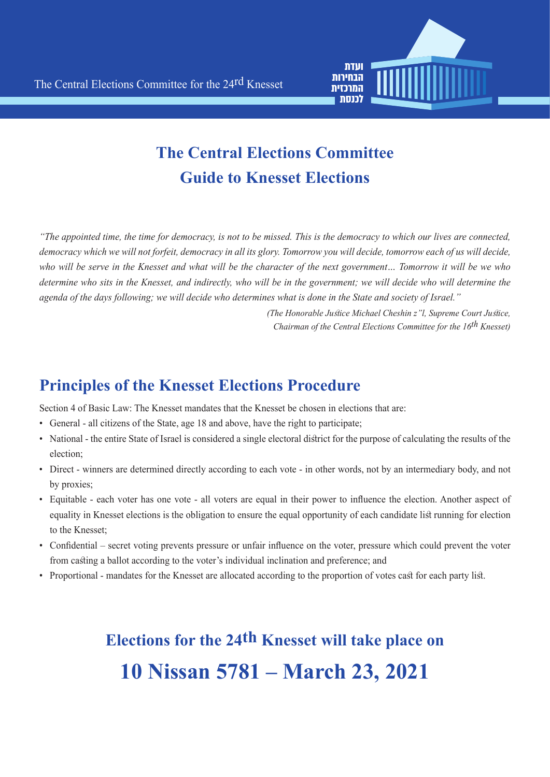

## **The Central Elections Committee Guide to Knesset Elections**

*"The appointed time, the time for democracy, is not to be missed. This is the democracy to which our lives are connected,* democracy which we will not forfeit, democracy in all its glory. Tomorrow you will decide, tomorrow each of us will decide, *who will be serve in the Knesset and what will be the character of the next government... Tomorrow it will be we who determine who sits in the Knesset, and indirectly, who will be in the government; we will decide who will determine the* agenda of the days following; we will decide who determines what is done in the State and society of Israel."

> *(The Honorable Justice Michael Cheshin z"l, Supreme Court Justice, (Chairman of the Central Elections Committee for the 16<sup>th</sup> Knesset)*

#### **Principles of the Knesset Elections Procedure**

Section 4 of Basic Law: The Knesset mandates that the Knesset be chosen in elections that are:

- General all citizens of the State, age 18 and above, have the right to participate;
- National the entire State of Israel is considered a single electoral district for the purpose of calculating the results of the election:
- Direct winners are determined directly according to each vote in other words, not by an intermediary body, and not by proxies;
- Equitable each voter has one vote all voters are equal in their power to influence the election. Another aspect of equality in Knesset elections is the obligation to ensure the equal opportunity of each candidate list running for election to the Knesset;
- Confidential secret voting prevents pressure or unfair influence on the voter, pressure which could prevent the voter from casting a ballot according to the voter's individual inclination and preference; and
- Proportional mandates for the Knesset are allocated according to the proportion of votes cast for each party list.

# **Elections for the 24th Knesset will take place on 10 Nissan 5781 – March 23, 2021**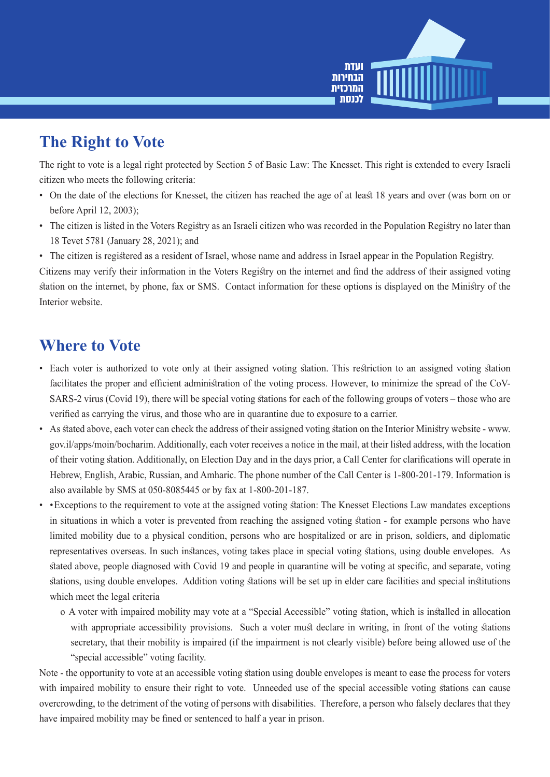

## **The Right to Vote**

The right to vote is a legal right protected by Section 5 of Basic Law: The Knesset. This right is extended to every Israeli citizen who meets the following criteria:

- On the date of the elections for Knesset, the citizen has reached the age of at least 18 years and over (was born on or before April 12, 2003);
- The citizen is listed in the Voters Registry as an Israeli citizen who was recorded in the Population Registry no later than 18 Tevet 5781 (January 28, 2021); and
- The citizen is registered as a resident of Israel, whose name and address in Israel appear in the Population Registry.

Citizens may verify their information in the Voters Registry on the internet and find the address of their assigned voting station on the internet, by phone, fax or SMS. Contact information for these options is displayed on the Ministry of the Interior website.

#### **Where** to Vote

- Each voter is authorized to vote only at their assigned voting station. This restriction to an assigned voting station SARS-2 virus (Covid 19), there will be special voting stations for each of the following groups of voters – those who are facilitates the proper and efficient administration of the voting process. However, to minimize the spread of the CoVverified as carrying the virus, and those who are in quarantine due to exposure to a carrier.
- As stated above, each voter can check the address of their assigned voting station on the Interior Ministry website www. gov.il/apps/moin/bocharim. Additionally, each voter receives a notice in the mail, at their listed address, with the location of their voting station. Additionally, on Election Day and in the days prior, a Call Center for clarifications will operate in Hebrew, English, Arabic, Russian, and Amharic. The phone number of the Call Center is 1-800-201-179. Information is also available by SMS at  $050-8085445$  or by fax at  $1-800-201-187$ .
- Exceptions to the requirement to vote at the assigned voting station: The Knesset Elections Law mandates exceptions in situations in which a voter is prevented from reaching the assigned voting station - for example persons who have limited mobility due to a physical condition, persons who are hospitalized or are in prison, soldiers, and diplomatic representatives overseas. In such instances, voting takes place in special voting stations, using double envelopes. As stated above, people diagnosed with Covid 19 and people in quarantine will be voting at specific, and separate, voting stations, using double envelopes. Addition voting stations will be set up in elder care facilities and special institutions which meet the legal criteria
	- o A voter with impaired mobility may vote at a "Special Accessible" voting station, which is installed in allocation with appropriate accessibility provisions. Such a voter must declare in writing, in front of the voting stations secretary, that their mobility is impaired (if the impairment is not clearly visible) before being allowed use of the " special accessible" voting facility.

Note - the opportunity to vote at an accessible voting station using double envelopes is meant to ease the process for voters with impaired mobility to ensure their right to vote. Unneeded use of the special accessible voting stations can cause overcrowding, to the detriment of the voting of persons with disabilities. Therefore, a person who falsely declares that they have impaired mobility may be fined or sentenced to half a year in prison.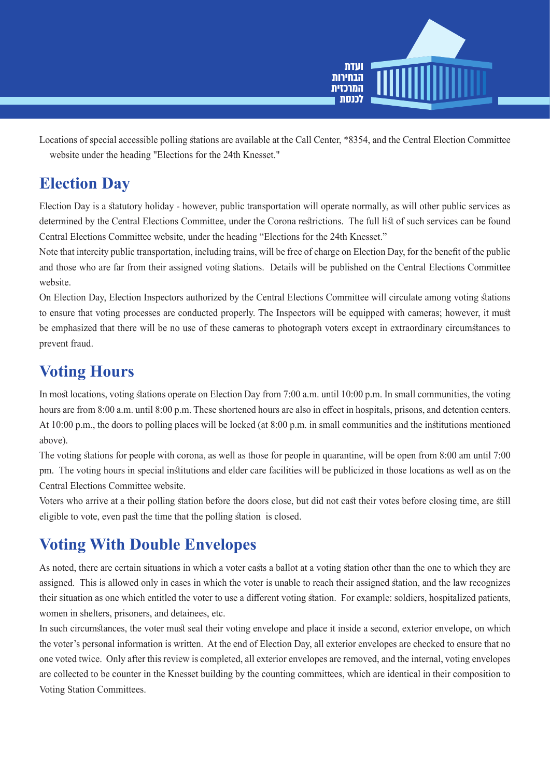

Locations of special accessible polling stations are available at the Call Center, \*8354, and the Central Election Committee website under the heading "Elections for the 24th Knesset."

#### **Election Day**

Election Day is a statutory holiday - however, public transportation will operate normally, as will other public services as determined by the Central Elections Committee, under the Corona restrictions. The full list of such services can be found Central Elections Committee website, under the heading "Elections for the 24th Knesset."

Note that intercity public transportation, including trains, will be free of charge on Election Day, for the benefit of the public and those who are far from their assigned voting stations. Details will be published on the Central Elections Committee website.

On Election Day, Election Inspectors authorized by the Central Elections Committee will circulate among voting stations to ensure that voting processes are conducted properly. The Inspectors will be equipped with cameras; however, it must be emphasized that there will be no use of these cameras to photograph voters except in extraordinary circumstances to prevent fraud.

## **Voting Hours**

In most locations, voting stations operate on Election Day from 7:00 a.m. until 10:00 p.m. In small communities, the voting hours are from 8:00 a.m. until 8:00 p.m. These shortened hours are also in effect in hospitals, prisons, and detention centers. At 10:00 p.m., the doors to polling places will be locked (at  $8:00$  p.m. in small communities and the institutions mentioned above).

The voting stations for people with corona, as well as those for people in quarantine, will be open from  $8:00$  am until  $7:00$ pm. The voting hours in special institutions and elder care facilities will be publicized in those locations as well as on the Central Elections Committee website.

Voters who arrive at a their polling station before the doors close, but did not cast their votes before closing time, are still eligible to vote, even past the time that the polling station is closed.

## **Voting With Double Envelopes**

As noted, there are certain situations in which a voter casts a ballot at a voting station other than the one to which they are assigned. This is allowed only in cases in which the voter is unable to reach their assigned station, and the law recognizes their situation as one which entitled the voter to use a different voting station. For example: soldiers, hospitalized patients, women in shelters, prisoners, and detainees, etc.

In such circumstances, the voter must seal their voting envelope and place it inside a second, exterior envelope, on which the voter's personal information is written. At the end of Election Day, all exterior envelopes are checked to ensure that no one voted twice. Only after this review is completed, all exterior envelopes are removed, and the internal, voting envelopes are collected to be counter in the Knesset building by the counting committees, which are identical in their composition to Voting Station Committees.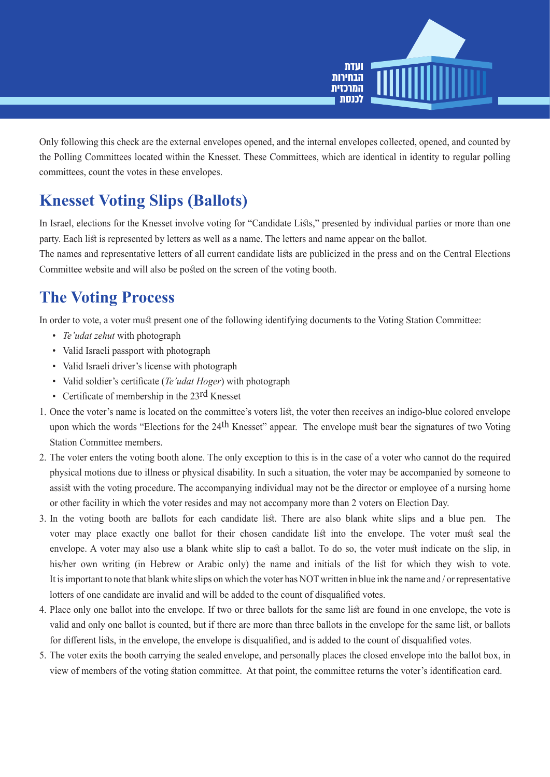

Only following this check are the external envelopes opened, and the internal envelopes collected, opened, and counted by the Polling Committees located within the Knesset. These Committees, which are identical in identity to regular polling committees, count the votes in these envelopes.

## **Knesset Voting Slips (Ballots)**

In Israel, elections for the Knesset involve voting for "Candidate Lists," presented by individual parties or more than one party. Each list is represented by letters as well as a name. The letters and name appear on the ballot.

The names and representative letters of all current candidate lists are publicized in the press and on the Central Elections Committee website and will also be posted on the screen of the voting booth.

#### **The Voting Process**

In order to vote, a voter must present one of the following identifying documents to the Voting Station Committee:

- Te'udat *zehut* with photograph
- Valid Israeli passport with photograph
- Valid Israeli driver's license with photograph
- Valid soldier's certificate (*Te'udat Hoger*) with photograph
- Certificate of membership in the  $23$ <sup>rd</sup> Knesset
- 1. Once the voter's name is located on the committee's voters list, the voter then receives an indigo-blue colored envelope upon which the words "Elections for the 24<sup>th</sup> Knesset" appear. The envelope must bear the signatures of two Voting Station Committee members.
- 2. The voter enters the voting booth alone. The only exception to this is in the case of a voter who cannot do the required physical motions due to illness or physical disability. In such a situation, the voter may be accompanied by someone to assist with the voting procedure. The accompanying individual may not be the director or employee of a nursing home or other facility in which the voter resides and may not accompany more than 2 voters on Election Day.
- 3. In the voting booth are ballots for each candidate list. There are also blank white slips and a blue pen. The voter may place exactly one ballot for their chosen candidate list into the envelope. The voter must seal the envelope. A voter may also use a blank white slip to cast a ballot. To do so, the voter must indicate on the slip, in his/her own writing (in Hebrew or Arabic only) the name and initials of the list for which they wish to vote. It is important to note that blank white slips on which the voter has NOT written in blue ink the name and / or representative lotters of one candidate are invalid and will be added to the count of disqualified votes.
- 4. Place only one ballot into the envelope. If two or three ballots for the same list are found in one envelope, the vote is valid and only one ballot is counted, but if there are more than three ballots in the envelope for the same list, or ballots for different lists, in the envelope, the envelope is disqualified, and is added to the count of disqualified votes.
- 5. The voter exits the booth carrying the sealed envelope, and personally places the closed envelope into the ballot box, in view of members of the voting station committee. At that point, the committee returns the voter's identification card.